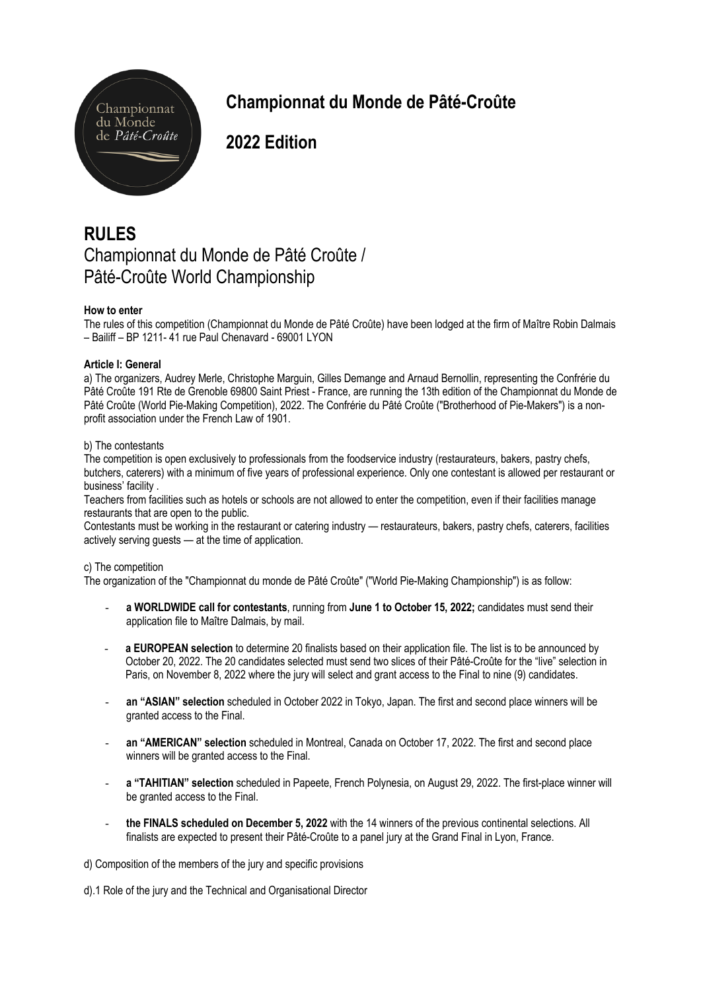

# **Championnat du Monde de Pâté-Croûte**

**2022 Edition**

## **RULES** Championnat du Monde de Pâté Croûte / Pâté-Croûte World Championship

## **How to enter**

The rules of this competition (Championnat du Monde de Pâté Croûte) have been lodged at the firm of Maître Robin Dalmais – Bailiff – BP 1211- 41 rue Paul Chenavard - 69001 LYON

## **Article I: General**

a) The organizers, Audrey Merle, Christophe Marguin, Gilles Demange and Arnaud Bernollin, representing the Confrérie du Pâté Croûte 191 Rte de Grenoble 69800 Saint Priest - France, are running the 13th edition of the Championnat du Monde de Pâté Croûte (World Pie-Making Competition), 2022. The Confrérie du Pâté Croûte ("Brotherhood of Pie-Makers") is a nonprofit association under the French Law of 1901.

## b) The contestants

The competition is open exclusively to professionals from the foodservice industry (restaurateurs, bakers, pastry chefs, butchers, caterers) with a minimum of five years of professional experience. Only one contestant is allowed per restaurant or business' facility .

Teachers from facilities such as hotels or schools are not allowed to enter the competition, even if their facilities manage restaurants that are open to the public.

Contestants must be working in the restaurant or catering industry — restaurateurs, bakers, pastry chefs, caterers, facilities actively serving guests — at the time of application.

## c) The competition

The organization of the "Championnat du monde de Pâté Croûte" ("World Pie-Making Championship") is as follow:

- **a WORLDWIDE call for contestants**, running from **June 1 to October 15, 2022;** candidates must send their application file to Maître Dalmais, by mail.
- a EUROPEAN selection to determine 20 finalists based on their application file. The list is to be announced by October 20, 2022. The 20 candidates selected must send two slices of their Pâté-Croûte for the "live" selection in Paris, on November 8, 2022 where the jury will select and grant access to the Final to nine (9) candidates.
- **an "ASIAN" selection** scheduled in October 2022 in Tokyo, Japan. The first and second place winners will be granted access to the Final.
- **an "AMERICAN" selection** scheduled in Montreal, Canada on October 17, 2022. The first and second place winners will be granted access to the Final.
- **a "TAHITIAN" selection** scheduled in Papeete, French Polynesia, on August 29, 2022. The first-place winner will be granted access to the Final.
- **the FINALS scheduled on December 5, 2022** with the 14 winners of the previous continental selections. All finalists are expected to present their Pâté-Croûte to a panel jury at the Grand Final in Lyon, France.

d) Composition of the members of the jury and specific provisions

d).1 Role of the jury and the Technical and Organisational Director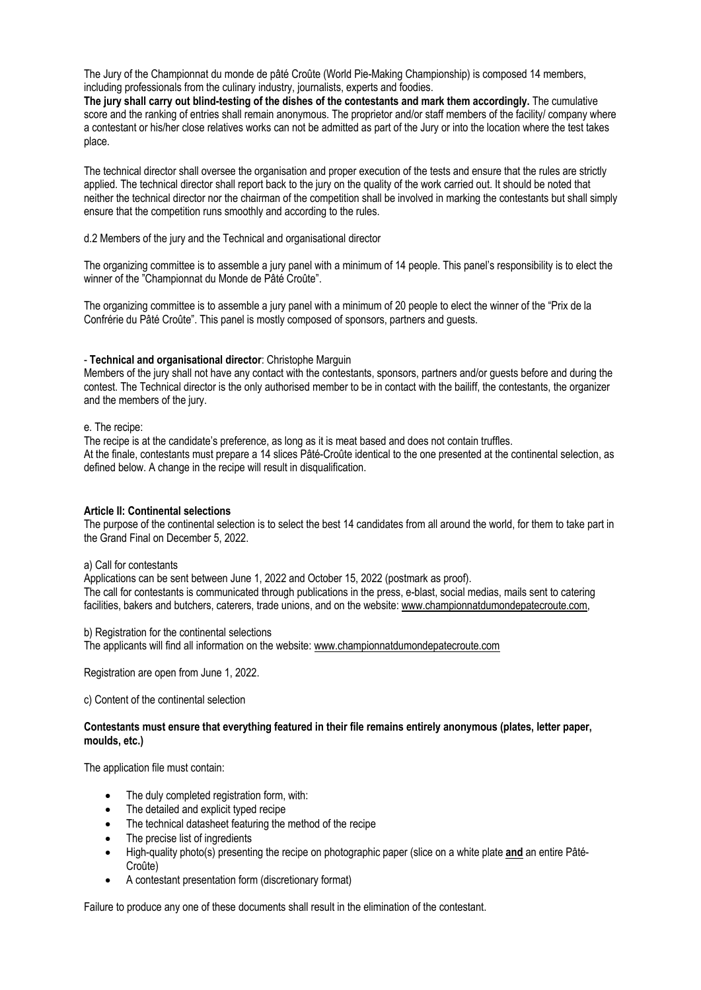The Jury of the Championnat du monde de pâté Croûte (World Pie-Making Championship) is composed 14 members, including professionals from the culinary industry, journalists, experts and foodies.

**The jury shall carry out blind-testing of the dishes of the contestants and mark them accordingly.** The cumulative score and the ranking of entries shall remain anonymous. The proprietor and/or staff members of the facility/ company where a contestant or his/her close relatives works can not be admitted as part of the Jury or into the location where the test takes place.

The technical director shall oversee the organisation and proper execution of the tests and ensure that the rules are strictly applied. The technical director shall report back to the jury on the quality of the work carried out. It should be noted that neither the technical director nor the chairman of the competition shall be involved in marking the contestants but shall simply ensure that the competition runs smoothly and according to the rules.

d.2 Members of the jury and the Technical and organisational director

The organizing committee is to assemble a jury panel with a minimum of 14 people. This panel's responsibility is to elect the winner of the "Championnat du Monde de Pâté Croûte".

The organizing committee is to assemble a jury panel with a minimum of 20 people to elect the winner of the "Prix de la Confrérie du Pâté Croûte". This panel is mostly composed of sponsors, partners and guests.

#### - **Technical and organisational director**: Christophe Marguin

Members of the jury shall not have any contact with the contestants, sponsors, partners and/or guests before and during the contest. The Technical director is the only authorised member to be in contact with the bailiff, the contestants, the organizer and the members of the jury.

#### e. The recipe:

The recipe is at the candidate's preference, as long as it is meat based and does not contain truffles. At the finale, contestants must prepare a 14 slices Pâté-Croûte identical to the one presented at the continental selection, as defined below. A change in the recipe will result in disqualification.

## **Article II: Continental selections**

The purpose of the continental selection is to select the best 14 candidates from all around the world, for them to take part in the Grand Final on December 5, 2022.

#### a) Call for contestants

Applications can be sent between June 1, 2022 and October 15, 2022 (postmark as proof). The call for contestants is communicated through publications in the press, e-blast, social medias, mails sent to catering facilities, bakers and butchers, caterers, trade unions, and on the website: www.championnatdumondepatecroute.com,

#### b) Registration for the continental selections

The applicants will find all information on the website: www.championnatdumondepatecroute.com

Registration are open from June 1, 2022.

c) Content of the continental selection

## **Contestants must ensure that everything featured in their file remains entirely anonymous (plates, letter paper, moulds, etc.)**

The application file must contain:

- The duly completed registration form, with:
- The detailed and explicit typed recipe
- The technical datasheet featuring the method of the recipe
- The precise list of ingredients
- High-quality photo(s) presenting the recipe on photographic paper (slice on a white plate **and** an entire Pâté-Croûte)
- A contestant presentation form (discretionary format)

Failure to produce any one of these documents shall result in the elimination of the contestant.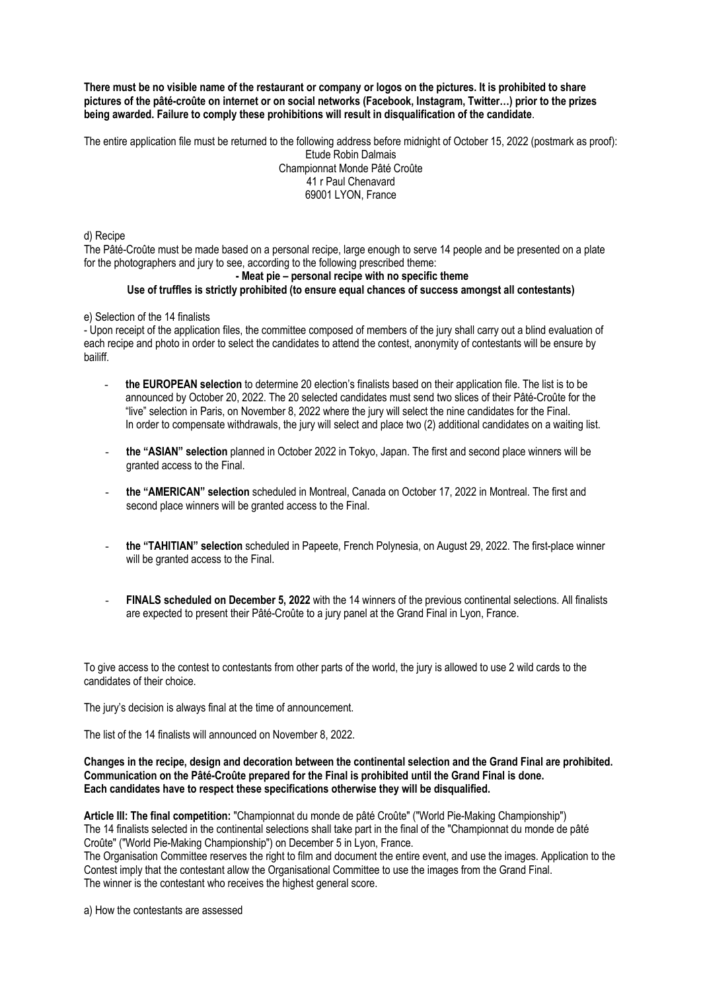**There must be no visible name of the restaurant or company or logos on the pictures. It is prohibited to share pictures of the pâté-croûte on internet or on social networks (Facebook, Instagram, Twitter…) prior to the prizes being awarded. Failure to comply these prohibitions will result in disqualification of the candidate**.

The entire application file must be returned to the following address before midnight of October 15, 2022 (postmark as proof): Etude Robin Dalmais

Championnat Monde Pâté Croûte 41 r Paul Chenavard 69001 LYON, France

d) Recipe

The Pâté-Croûte must be made based on a personal recipe, large enough to serve 14 people and be presented on a plate for the photographers and jury to see, according to the following prescribed theme:

#### **- Meat pie – personal recipe with no specific theme Use of truffles is strictly prohibited (to ensure equal chances of success amongst all contestants)**

## e) Selection of the 14 finalists

- Upon receipt of the application files, the committee composed of members of the jury shall carry out a blind evaluation of each recipe and photo in order to select the candidates to attend the contest, anonymity of contestants will be ensure by bailiff.

- **the EUROPEAN selection** to determine 20 election's finalists based on their application file. The list is to be announced by October 20, 2022. The 20 selected candidates must send two slices of their Pâté-Croûte for the "live" selection in Paris, on November 8, 2022 where the jury will select the nine candidates for the Final. In order to compensate withdrawals, the jury will select and place two (2) additional candidates on a waiting list.
- **the "ASIAN" selection** planned in October 2022 in Tokyo, Japan. The first and second place winners will be granted access to the Final.
- **the "AMERICAN" selection** scheduled in Montreal, Canada on October 17, 2022 in Montreal. The first and second place winners will be granted access to the Final.
- **the "TAHITIAN" selection** scheduled in Papeete, French Polynesia, on August 29, 2022. The first-place winner will be granted access to the Final.
- **FINALS scheduled on December 5, 2022** with the 14 winners of the previous continental selections. All finalists are expected to present their Pâté-Croûte to a jury panel at the Grand Final in Lyon, France.

To give access to the contest to contestants from other parts of the world, the jury is allowed to use 2 wild cards to the candidates of their choice.

The jury's decision is always final at the time of announcement.

The list of the 14 finalists will announced on November 8, 2022.

### **Changes in the recipe, design and decoration between the continental selection and the Grand Final are prohibited. Communication on the Pâté-Croûte prepared for the Final is prohibited until the Grand Final is done. Each candidates have to respect these specifications otherwise they will be disqualified.**

**Article III: The final competition:** "Championnat du monde de pâté Croûte" ("World Pie-Making Championship") The 14 finalists selected in the continental selections shall take part in the final of the "Championnat du monde de pâté Croûte" ("World Pie-Making Championship") on December 5 in Lyon, France.

The Organisation Committee reserves the right to film and document the entire event, and use the images. Application to the Contest imply that the contestant allow the Organisational Committee to use the images from the Grand Final. The winner is the contestant who receives the highest general score.

a) How the contestants are assessed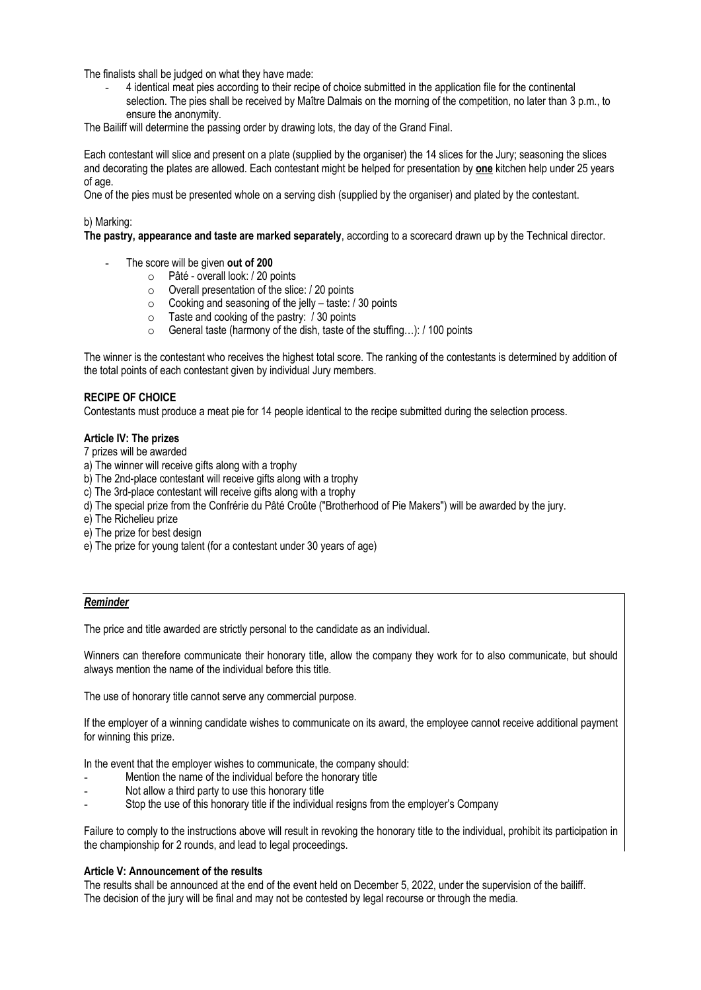The finalists shall be judged on what they have made:

- 4 identical meat pies according to their recipe of choice submitted in the application file for the continental selection. The pies shall be received by Maître Dalmais on the morning of the competition, no later than 3 p.m., to ensure the anonymity.

The Bailiff will determine the passing order by drawing lots, the day of the Grand Final.

Each contestant will slice and present on a plate (supplied by the organiser) the 14 slices for the Jury; seasoning the slices and decorating the plates are allowed. Each contestant might be helped for presentation by **one** kitchen help under 25 years of age.

One of the pies must be presented whole on a serving dish (supplied by the organiser) and plated by the contestant.

## b) Marking:

**The pastry, appearance and taste are marked separately**, according to a scorecard drawn up by the Technical director.

- The score will be given out of 200
	- o Pâté overall look: / 20 points
	- o Overall presentation of the slice: / 20 points
	- o Cooking and seasoning of the jelly taste: / 30 points
	- $\circ$  Taste and cooking of the pastry:  $\hat{1}$  30 points
	- o General taste (harmony of the dish, taste of the stuffing…): / 100 points

The winner is the contestant who receives the highest total score. The ranking of the contestants is determined by addition of the total points of each contestant given by individual Jury members.

## **RECIPE OF CHOICE**

Contestants must produce a meat pie for 14 people identical to the recipe submitted during the selection process.

## **Article IV: The prizes**

7 prizes will be awarded

- a) The winner will receive gifts along with a trophy
- b) The 2nd-place contestant will receive gifts along with a trophy
- c) The 3rd-place contestant will receive gifts along with a trophy
- d) The special prize from the Confrérie du Pâté Croûte ("Brotherhood of Pie Makers") will be awarded by the jury.
- e) The Richelieu prize
- e) The prize for best design
- e) The prize for young talent (for a contestant under 30 years of age)

## *Reminder*

The price and title awarded are strictly personal to the candidate as an individual.

Winners can therefore communicate their honorary title, allow the company they work for to also communicate, but should always mention the name of the individual before this title.

The use of honorary title cannot serve any commercial purpose.

If the employer of a winning candidate wishes to communicate on its award, the employee cannot receive additional payment for winning this prize.

In the event that the employer wishes to communicate, the company should:

- Mention the name of the individual before the honorary title
- Not allow a third party to use this honorary title
- Stop the use of this honorary title if the individual resigns from the employer's Company

Failure to comply to the instructions above will result in revoking the honorary title to the individual, prohibit its participation in the championship for 2 rounds, and lead to legal proceedings.

## **Article V: Announcement of the results**

The results shall be announced at the end of the event held on December 5, 2022, under the supervision of the bailiff. The decision of the jury will be final and may not be contested by legal recourse or through the media.